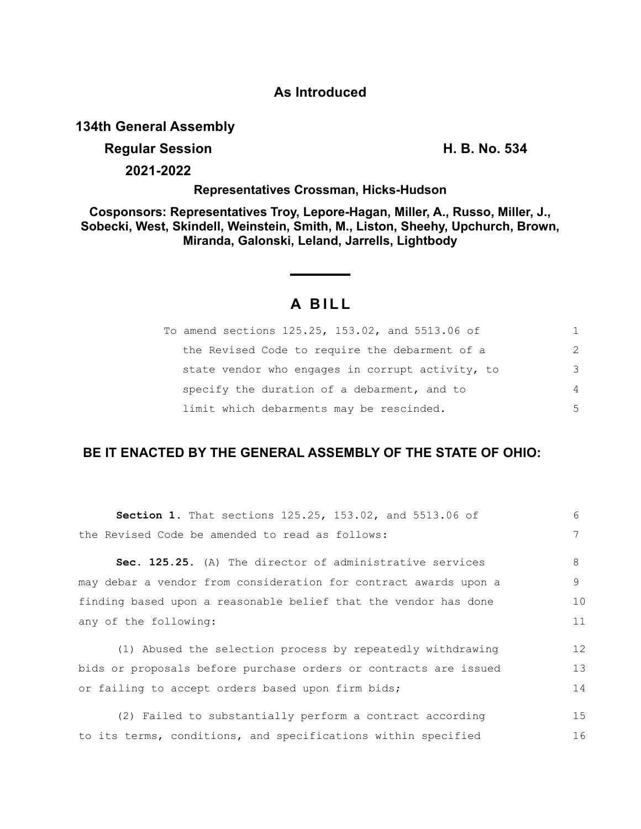# **As Introduced**

# **134th General Assembly**

# **Regular Session H. B. No. 534**

**2021-2022**

### **Representatives Crossman, Hicks-Hudson**

**Cosponsors: Representatives Troy, Lepore-Hagan, Miller, A., Russo, Miller, J., Sobecki, West, Skindell, Weinstein, Smith, M., Liston, Sheehy, Upchurch, Brown, Miranda, Galonski, Leland, Jarrells, Lightbody**

# **A B I L L**

| To amend sections 125.25, 153.02, and 5513.06 of | 1.            |
|--------------------------------------------------|---------------|
| the Revised Code to require the debarment of a   | $\mathcal{P}$ |
| state vendor who engages in corrupt activity, to | 3             |
| specify the duration of a debarment, and to      | 4             |
| limit which debarments may be rescinded.         | .5            |

## **BE IT ENACTED BY THE GENERAL ASSEMBLY OF THE STATE OF OHIO:**

| Section 1. That sections 125.25, 153.02, and 5513.06 of          | 6  |
|------------------------------------------------------------------|----|
| the Revised Code be amended to read as follows:                  | 7  |
|                                                                  |    |
| Sec. 125.25. (A) The director of administrative services         | 8  |
| may debar a vendor from consideration for contract awards upon a | 9  |
| finding based upon a reasonable belief that the vendor has done  | 10 |
| any of the following:                                            | 11 |
|                                                                  |    |
| (1) Abused the selection process by repeatedly withdrawing       | 12 |
| bids or proposals before purchase orders or contracts are issued | 13 |
| or failing to accept orders based upon firm bids;                | 14 |
|                                                                  |    |
| (2) Failed to substantially perform a contract according         | 15 |
| to its terms, conditions, and specifications within specified    | 16 |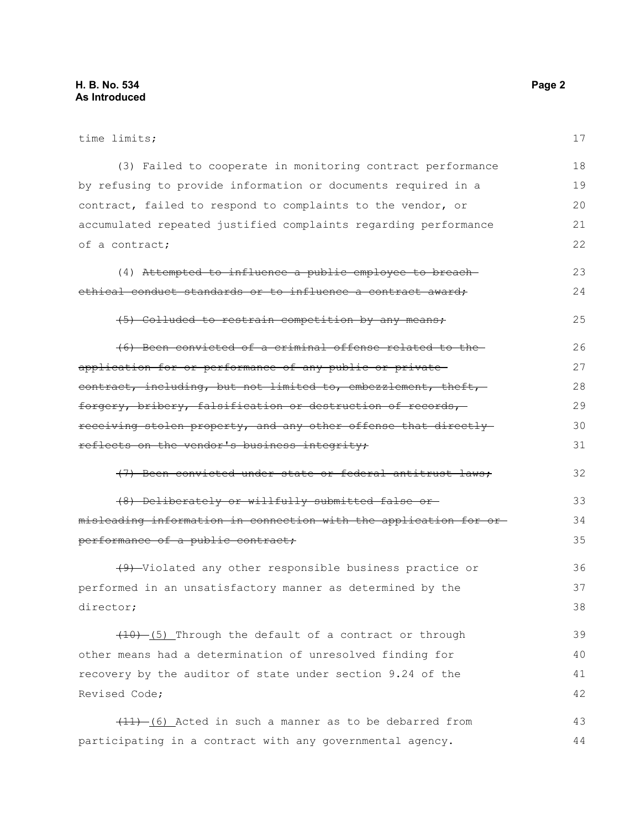time limits; (3) Failed to cooperate in monitoring contract performance by refusing to provide information or documents required in a contract, failed to respond to complaints to the vendor, or accumulated repeated justified complaints regarding performance of a contract; (4) Attempted to influence a public employee to breach ethical conduct standards or to influence a contract award; (5) Colluded to restrain competition by any means; (6) Been convicted of a criminal offense related to the application for or performance of any public or private contract, including, but not limited to, embezzlement, theft, forgery, bribery, falsification or destruction of records, receiving stolen property, and any other offense that directly reflects on the vendor's business integrity; (7) Been convicted under state or federal antitrust laws; (8) Deliberately or willfully submitted false or misleading information in connection with the application for or performance of a public contract; (9) Violated any other responsible business practice or performed in an unsatisfactory manner as determined by the director;  $(10)$  (5) Through the default of a contract or through other means had a determination of unresolved finding for recovery by the auditor of state under section 9.24 of the Revised Code;  $(11)$  (6) Acted in such a manner as to be debarred from 17 18 19 20 21 22 23 24 25 26 27 28 29 30 31 32 33 34 35 36 37 38 39 40 41 42 43

participating in a contract with any governmental agency.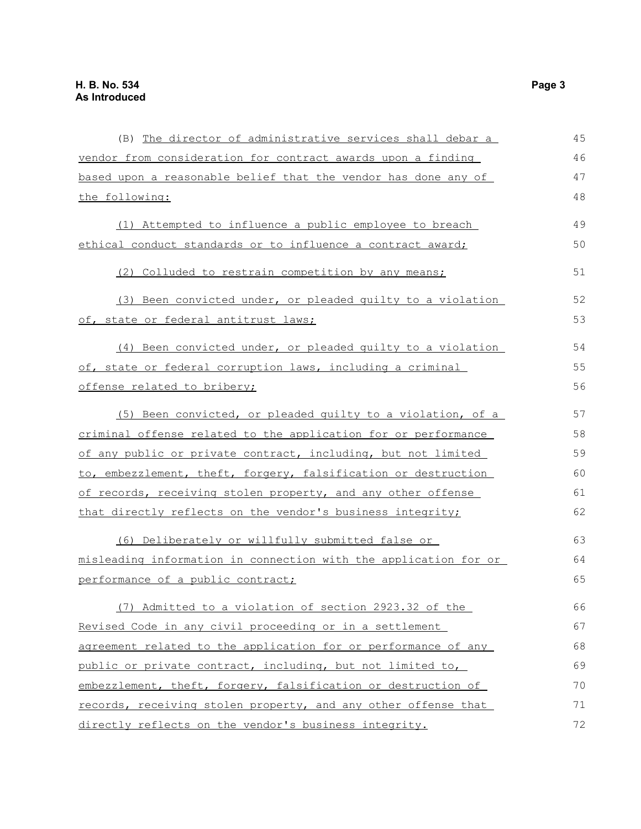| (B) The director of administrative services shall debar a        | 45 |
|------------------------------------------------------------------|----|
| vendor from consideration for contract awards upon a finding     | 46 |
| based upon a reasonable belief that the vendor has done any of   | 47 |
|                                                                  |    |
| the following:                                                   | 48 |
| (1) Attempted to influence a public employee to breach           | 49 |
| ethical conduct standards or to influence a contract award;      | 50 |
| (2) Colluded to restrain competition by any means;               | 51 |
| (3) Been convicted under, or pleaded quilty to a violation       | 52 |
| of, state or federal antitrust laws;                             | 53 |
| (4) Been convicted under, or pleaded guilty to a violation       | 54 |
| of, state or federal corruption laws, including a criminal       | 55 |
| offense related to bribery;                                      | 56 |
|                                                                  |    |
| (5) Been convicted, or pleaded quilty to a violation, of a       | 57 |
| criminal offense related to the application for or performance   | 58 |
| of any public or private contract, including, but not limited    | 59 |
| to, embezzlement, theft, forgery, falsification or destruction   | 60 |
| of records, receiving stolen property, and any other offense     | 61 |
| that directly reflects on the vendor's business integrity;       | 62 |
| (6) Deliberately or willfully submitted false or                 | 63 |
| misleading information in connection with the application for or | 64 |
| performance of a public contract;                                | 65 |
| (7) Admitted to a violation of section 2923.32 of the            | 66 |
| Revised Code in any civil proceeding or in a settlement          | 67 |
|                                                                  | 68 |
| agreement related to the application for or performance of any   |    |
| public or private contract, including, but not limited to,       | 69 |
| embezzlement, theft, forgery, falsification or destruction of    | 70 |
| records, receiving stolen property, and any other offense that   | 71 |
| directly reflects on the vendor's business integrity.            | 72 |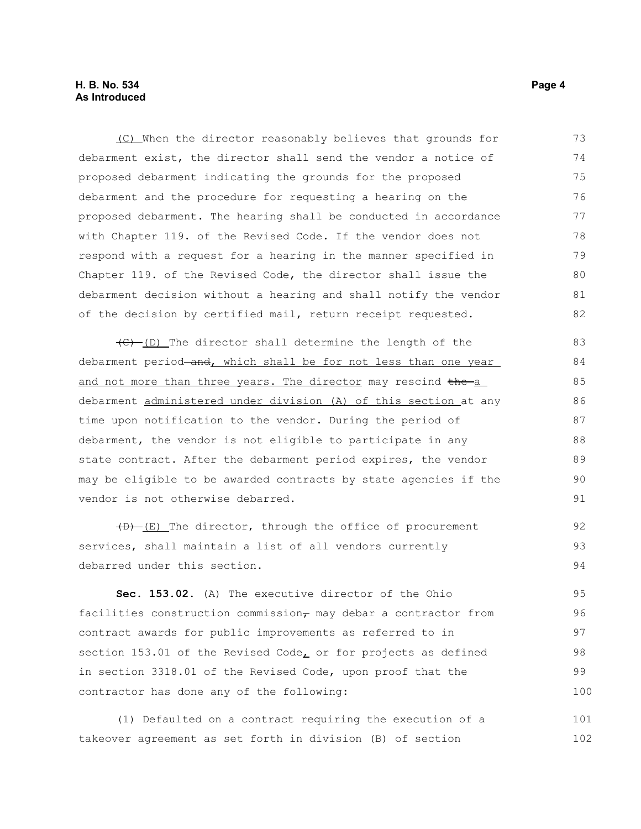#### **H. B. No. 534** Page 4 **As Introduced**

(C) When the director reasonably believes that grounds for debarment exist, the director shall send the vendor a notice of proposed debarment indicating the grounds for the proposed debarment and the procedure for requesting a hearing on the proposed debarment. The hearing shall be conducted in accordance with Chapter 119. of the Revised Code. If the vendor does not respond with a request for a hearing in the manner specified in Chapter 119. of the Revised Code, the director shall issue the debarment decision without a hearing and shall notify the vendor of the decision by certified mail, return receipt requested. 73 74 75 76 77 78 79 80 81 82

 $\left( \frac{C}{C} \right)$  (D) The director shall determine the length of the debarment period-and, which shall be for not less than one year and not more than three years. The director may rescind the a debarment administered under division (A) of this section at any time upon notification to the vendor. During the period of debarment, the vendor is not eligible to participate in any state contract. After the debarment period expires, the vendor may be eligible to be awarded contracts by state agencies if the vendor is not otherwise debarred.

 $(D)$  (E) The director, through the office of procurement services, shall maintain a list of all vendors currently debarred under this section.

**Sec. 153.02.** (A) The executive director of the Ohio facilities construction commission $_7$  may debar a contractor from contract awards for public improvements as referred to in section 153.01 of the Revised Code, or for projects as defined in section 3318.01 of the Revised Code, upon proof that the contractor has done any of the following: 95 96 97 98 99 100

(1) Defaulted on a contract requiring the execution of a takeover agreement as set forth in division (B) of section 101 102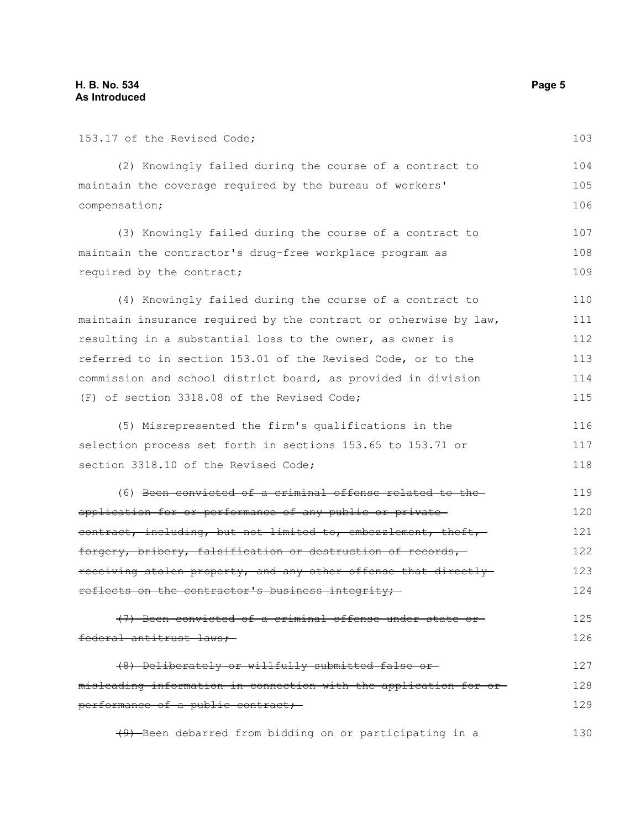| 153.17 of the Revised Code;                                       | 103 |
|-------------------------------------------------------------------|-----|
| (2) Knowingly failed during the course of a contract to           | 104 |
| maintain the coverage required by the bureau of workers'          | 105 |
| compensation;                                                     | 106 |
| (3) Knowingly failed during the course of a contract to           | 107 |
| maintain the contractor's drug-free workplace program as          | 108 |
| required by the contract;                                         | 109 |
| (4) Knowingly failed during the course of a contract to           | 110 |
| maintain insurance required by the contract or otherwise by law,  | 111 |
| resulting in a substantial loss to the owner, as owner is         | 112 |
| referred to in section 153.01 of the Revised Code, or to the      | 113 |
| commission and school district board, as provided in division     | 114 |
| (F) of section 3318.08 of the Revised Code;                       | 115 |
| (5) Misrepresented the firm's qualifications in the               | 116 |
| selection process set forth in sections 153.65 to 153.71 or       | 117 |
| section 3318.10 of the Revised Code;                              | 118 |
| (6) Been convicted of a criminal offense related to the           | 119 |
| application for or performance of any public or private           |     |
| contract, including, but not limited to, embezzlement, theft,     | 121 |
| forgery, bribery, falsification or destruction of records,        | 122 |
| receiving stolen property, and any other offense that directly-   | 123 |
| reflects on the contractor's business integrity;                  | 124 |
| (7) Been convicted of a criminal offense under state or           | 125 |
| federal antitrust laws:                                           | 126 |
| (8) Deliberately or willfully submitted false or-                 | 127 |
| misleading information in connection with the application for or- | 128 |
| performance of a public contract;                                 | 129 |

(9) Been debarred from bidding on or participating in a 130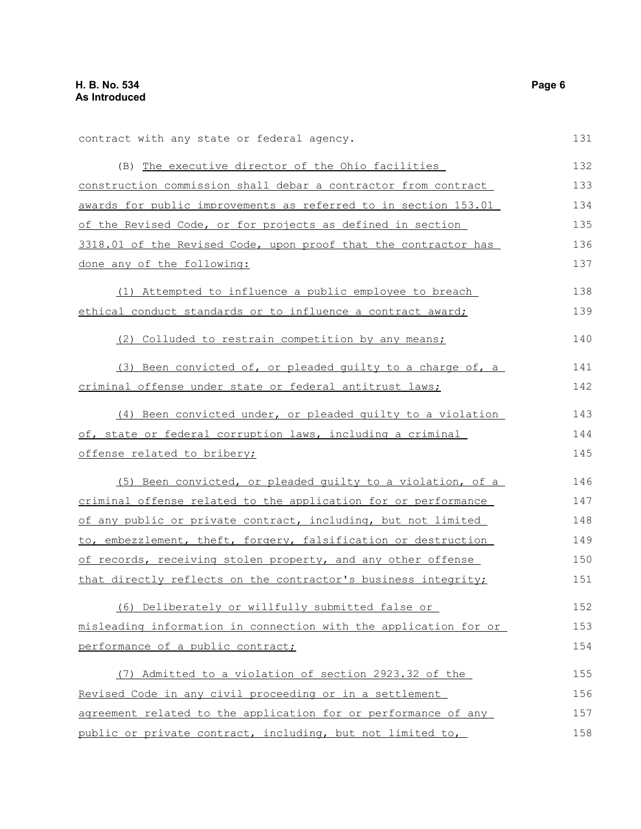| contract with any state or federal agency.                       | 131 |
|------------------------------------------------------------------|-----|
| (B) The executive director of the Ohio facilities                | 132 |
| construction commission shall debar a contractor from contract   | 133 |
| awards for public improvements as referred to in section 153.01  |     |
| of the Revised Code, or for projects as defined in section       |     |
| 3318.01 of the Revised Code, upon proof that the contractor has  | 136 |
| done any of the following:                                       | 137 |
| (1) Attempted to influence a public employee to breach           | 138 |
| ethical conduct standards or to influence a contract award;      | 139 |
| (2) Colluded to restrain competition by any means;               | 140 |
| (3) Been convicted of, or pleaded quilty to a charge of, a       | 141 |
| criminal offense under state or federal antitrust laws;          | 142 |
| (4) Been convicted under, or pleaded quilty to a violation       | 143 |
| of, state or federal corruption laws, including a criminal       | 144 |
| offense related to bribery;                                      |     |
| (5) Been convicted, or pleaded quilty to a violation, of a       | 146 |
| criminal offense related to the application for or performance   | 147 |
| of any public or private contract, including, but not limited    | 148 |
| to, embezzlement, theft, forgery, falsification or destruction   | 149 |
| of records, receiving stolen property, and any other offense     | 150 |
| that directly reflects on the contractor's business integrity;   | 151 |
| (6) Deliberately or willfully submitted false or                 | 152 |
| misleading information in connection with the application for or | 153 |
| performance of a public contract;                                | 154 |
| (7) Admitted to a violation of section 2923.32 of the            | 155 |
| Revised Code in any civil proceeding or in a settlement          | 156 |
| agreement related to the application for or performance of any   | 157 |
| public or private contract, including, but not limited to,       | 158 |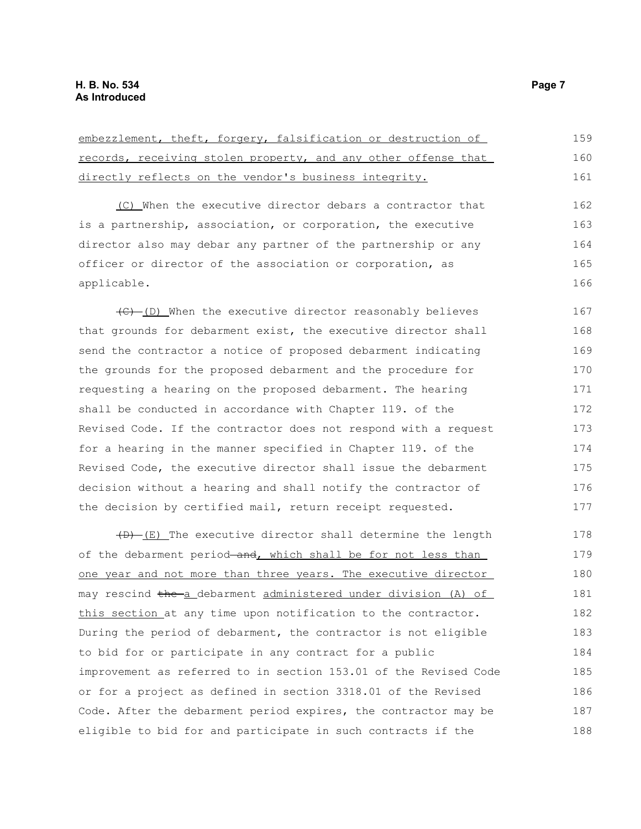| embezzlement, theft, forgery, falsification or destruction of                  |     |
|--------------------------------------------------------------------------------|-----|
| records, receiving stolen property, and any other offense that                 | 160 |
| directly reflects on the vendor's business integrity.                          |     |
| (C) When the executive director debars a contractor that                       | 162 |
| is a partnership, association, or corporation, the executive                   | 163 |
| director also may debar any partner of the partnership or any                  | 164 |
| officer or director of the association or corporation, as                      | 165 |
| applicable.                                                                    | 166 |
| $\left(\theta - \theta\right)$ When the executive director reasonably believes | 167 |
| that grounds for debarment exist, the executive director shall                 | 168 |
| send the contractor a notice of proposed debarment indicating                  | 169 |
| the grounds for the proposed debarment and the procedure for                   | 170 |
| requesting a hearing on the proposed debarment. The hearing                    | 171 |
| shall be conducted in accordance with Chapter 119. of the                      | 172 |
| Revised Code. If the contractor does not respond with a request                | 173 |
| for a hearing in the manner specified in Chapter 119. of the                   | 174 |
| Revised Code, the executive director shall issue the debarment                 | 175 |
| decision without a hearing and shall notify the contractor of                  | 176 |
| the decision by certified mail, return receipt requested.                      | 177 |

(D) (E) The executive director shall determine the length of the debarment period-and, which shall be for not less than one year and not more than three years. The executive director may rescind the a debarment administered under division (A) of this section at any time upon notification to the contractor. During the period of debarment, the contractor is not eligible to bid for or participate in any contract for a public improvement as referred to in section 153.01 of the Revised Code or for a project as defined in section 3318.01 of the Revised Code. After the debarment period expires, the contractor may be eligible to bid for and participate in such contracts if the 178 179 180 181 182 183 184 185 186 187 188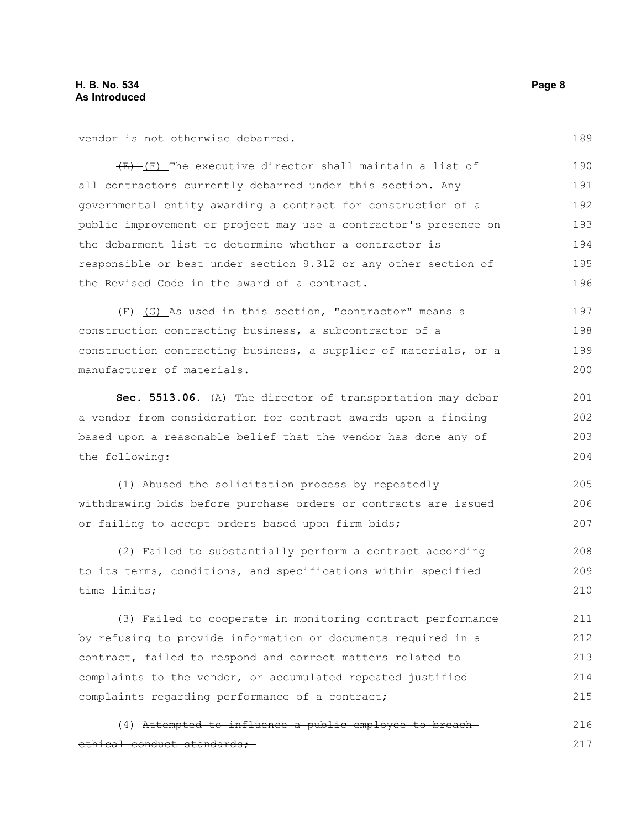vendor is not otherwise debarred.

 $(E)$  (F) The executive director shall maintain a list of all contractors currently debarred under this section. Any governmental entity awarding a contract for construction of a public improvement or project may use a contractor's presence on the debarment list to determine whether a contractor is responsible or best under section 9.312 or any other section of the Revised Code in the award of a contract. 190 191 192 193 194 195 196

 $(F)$  (G) As used in this section, "contractor" means a construction contracting business, a subcontractor of a construction contracting business, a supplier of materials, or a manufacturer of materials. 197 198 199 200

**Sec. 5513.06.** (A) The director of transportation may debar a vendor from consideration for contract awards upon a finding based upon a reasonable belief that the vendor has done any of the following:

(1) Abused the solicitation process by repeatedly withdrawing bids before purchase orders or contracts are issued or failing to accept orders based upon firm bids; 205 206 207

(2) Failed to substantially perform a contract according to its terms, conditions, and specifications within specified time limits; 208 209 210

(3) Failed to cooperate in monitoring contract performance by refusing to provide information or documents required in a contract, failed to respond and correct matters related to complaints to the vendor, or accumulated repeated justified complaints regarding performance of a contract; 211 212 213 214 215

(4) Attempted to influence a public employee to breach ethical conduct standards; 216 217

189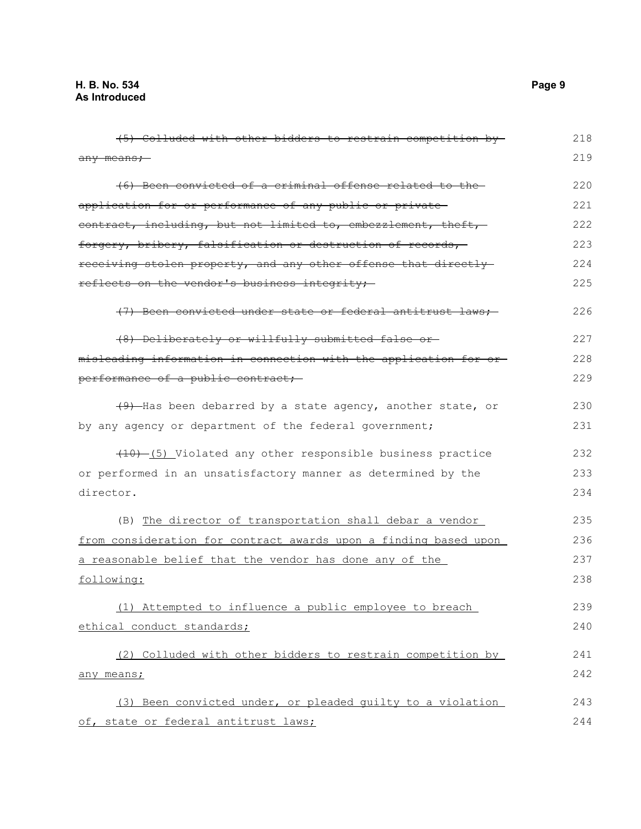(5) Colluded with other bidders to restrain competition by any means; (6) Been convicted of a criminal offense related to the application for or performance of any public or private contract, including, but not limited to, embezzlement, theft, forgery, bribery, falsification or destruction of records, receiving stolen property, and any other offense that directly reflects on the vendor's business integrity; (7) Been convicted under state or federal antitrust laws; (8) Deliberately or willfully submitted false or misleading information in connection with the application for or performance of a public contract; (9) Has been debarred by a state agency, another state, or by any agency or department of the federal government; (10) (5) Violated any other responsible business practice or performed in an unsatisfactory manner as determined by the director. (B) The director of transportation shall debar a vendor from consideration for contract awards upon a finding based upon a reasonable belief that the vendor has done any of the following: (1) Attempted to influence a public employee to breach ethical conduct standards; (2) Colluded with other bidders to restrain competition by any means; (3) Been convicted under, or pleaded guilty to a violation of, state or federal antitrust laws; 218 219 220 221 222 223 224 225 226 227 228 229 230 231 232 233 234 235 236 237 238 239 240 241 242 243 244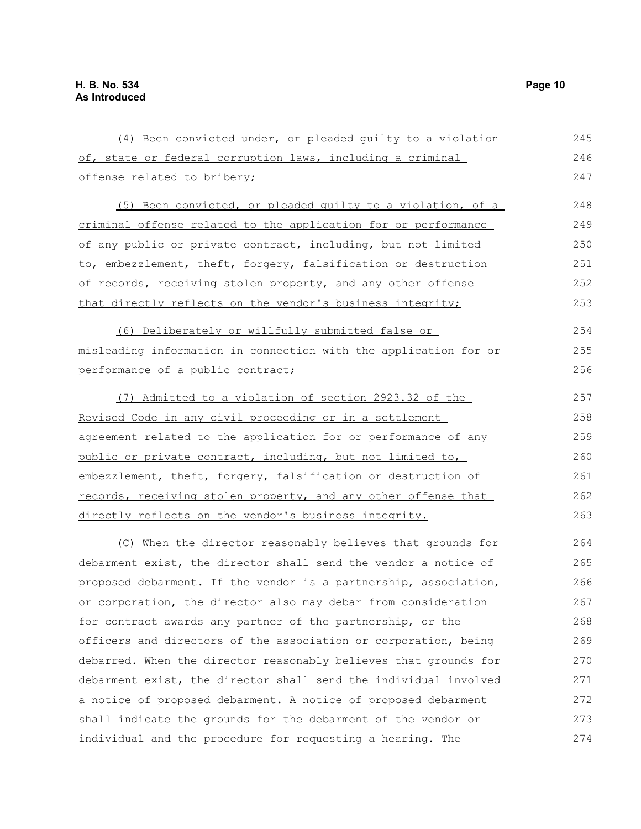| (4) Been convicted under, or pleaded guilty to a violation       | 245 |
|------------------------------------------------------------------|-----|
| of, state or federal corruption laws, including a criminal       | 246 |
| offense related to bribery;                                      | 247 |
| (5) Been convicted, or pleaded quilty to a violation, of a       | 248 |
| criminal offense related to the application for or performance   | 249 |
| of any public or private contract, including, but not limited    | 250 |
| to, embezzlement, theft, forgery, falsification or destruction   | 251 |
| of records, receiving stolen property, and any other offense     | 252 |
| that directly reflects on the vendor's business integrity;       | 253 |
| (6) Deliberately or willfully submitted false or                 | 254 |
| misleading information in connection with the application for or | 255 |
| performance of a public contract;                                | 256 |
| (7) Admitted to a violation of section 2923.32 of the            | 257 |
| Revised Code in any civil proceeding or in a settlement          | 258 |
| agreement related to the application for or performance of any   | 259 |
| public or private contract, including, but not limited to,       | 260 |
| embezzlement, theft, forgery, falsification or destruction of    | 261 |
| records, receiving stolen property, and any other offense that   | 262 |
| directly reflects on the vendor's business integrity.            | 263 |
| (C) When the director reasonably believes that grounds for       | 264 |
| debarment exist, the director shall send the vendor a notice of  | 265 |
| proposed debarment. If the vendor is a partnership, association, | 266 |
| or corporation, the director also may debar from consideration   | 267 |
| for contract awards any partner of the partnership, or the       | 268 |
| officers and directors of the association or corporation, being  | 269 |
| debarred. When the director reasonably believes that grounds for | 270 |
| debarment exist, the director shall send the individual involved | 271 |
| a notice of proposed debarment. A notice of proposed debarment   | 272 |
| shall indicate the grounds for the debarment of the vendor or    | 273 |

individual and the procedure for requesting a hearing. The